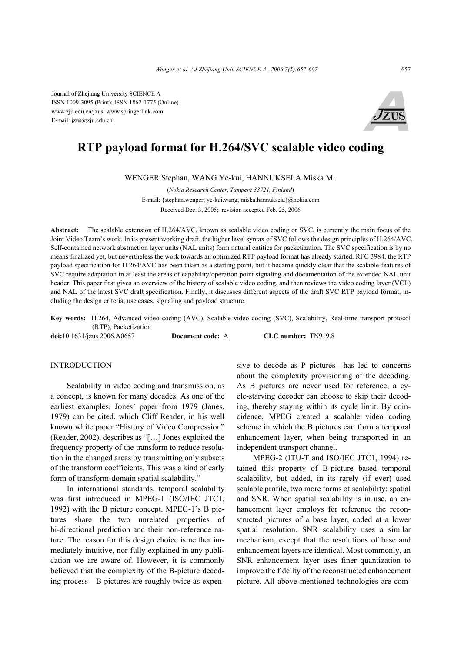Journal of Zhejiang University SCIENCE A ISSN 1009-3095 (Print); ISSN 1862-1775 (Online) www.zju.edu.cn/jzus; www.springerlink.com E-mail: jzus@zju.edu.cn



# **RTP payload format for H.264/SVC scalable video coding**

WENGER Stephan, WANG Ye-kui, HANNUKSELA Miska M.

(*Nokia Research Center, Tampere 33721, Finland*) E-mail: {stephan.wenger; ye-kui.wang; miska.hannuksela}@nokia.com Received Dec. 3, 2005; revision accepted Feb. 25, 2006

**Abstract:** The scalable extension of H.264/AVC, known as scalable video coding or SVC, is currently the main focus of the Joint Video Team's work. In its present working draft, the higher level syntax of SVC follows the design principles of H.264/AVC. Self-contained network abstraction layer units (NAL units) form natural entities for packetization. The SVC specification is by no means finalized yet, but nevertheless the work towards an optimized RTP payload format has already started. RFC 3984, the RTP payload specification for H.264/AVC has been taken as a starting point, but it became quickly clear that the scalable features of SVC require adaptation in at least the areas of capability/operation point signaling and documentation of the extended NAL unit header. This paper first gives an overview of the history of scalable video coding, and then reviews the video coding layer (VCL) and NAL of the latest SVC draft specification. Finally, it discusses different aspects of the draft SVC RTP payload format, including the design criteria, use cases, signaling and payload structure.

**Key words:** H.264, Advanced video coding (AVC), Scalable video coding (SVC), Scalability, Real-time transport protocol (RTP), Packetization

**doi:**10.1631/jzus.2006.A0657 **Document code:** A **CLC number:** TN919.8

## INTRODUCTION

Scalability in video coding and transmission, as a concept, is known for many decades. As one of the earliest examples, Jones' paper from 1979 (Jones, 1979) can be cited, which Cliff Reader, in his well known white paper "History of Video Compression" (Reader, 2002), describes as "[…] Jones exploited the frequency property of the transform to reduce resolution in the changed areas by transmitting only subsets of the transform coefficients. This was a kind of early form of transform-domain spatial scalability."

In international standards, temporal scalability was first introduced in MPEG-1 (ISO/IEC JTC1, 1992) with the B picture concept. MPEG-1's B pictures share the two unrelated properties of bi-directional prediction and their non-reference nature. The reason for this design choice is neither immediately intuitive, nor fully explained in any publication we are aware of. However, it is commonly believed that the complexity of the B-picture decoding process—B pictures are roughly twice as expensive to decode as P pictures—has led to concerns about the complexity provisioning of the decoding. As B pictures are never used for reference, a cycle-starving decoder can choose to skip their decoding, thereby staying within its cycle limit. By coincidence, MPEG created a scalable video coding scheme in which the B pictures can form a temporal enhancement layer, when being transported in an independent transport channel.

MPEG-2 (ITU-T and ISO/IEC JTC1, 1994) retained this property of B-picture based temporal scalability, but added, in its rarely (if ever) used scalable profile, two more forms of scalability: spatial and SNR. When spatial scalability is in use, an enhancement layer employs for reference the reconstructed pictures of a base layer, coded at a lower spatial resolution. SNR scalability uses a similar mechanism, except that the resolutions of base and enhancement layers are identical. Most commonly, an SNR enhancement layer uses finer quantization to improve the fidelity of the reconstructed enhancement picture. All above mentioned technologies are com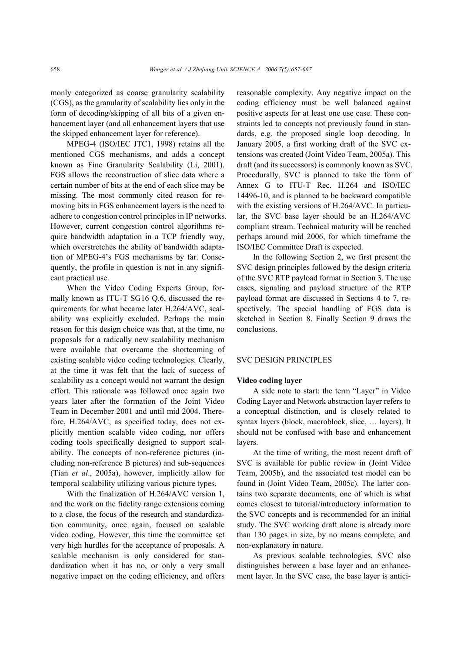monly categorized as coarse granularity scalability (CGS), as the granularity of scalability lies only in the form of decoding/skipping of all bits of a given enhancement layer (and all enhancement layers that use the skipped enhancement layer for reference).

MPEG-4 (ISO/IEC JTC1, 1998) retains all the mentioned CGS mechanisms, and adds a concept known as Fine Granularity Scalability (Li, 2001). FGS allows the reconstruction of slice data where a certain number of bits at the end of each slice may be missing. The most commonly cited reason for removing bits in FGS enhancement layers is the need to adhere to congestion control principles in IP networks. However, current congestion control algorithms require bandwidth adaptation in a TCP friendly way, which overstretches the ability of bandwidth adaptation of MPEG-4's FGS mechanisms by far. Consequently, the profile in question is not in any significant practical use.

When the Video Coding Experts Group, formally known as ITU-T SG16 Q.6, discussed the requirements for what became later H.264/AVC, scalability was explicitly excluded. Perhaps the main reason for this design choice was that, at the time, no proposals for a radically new scalability mechanism were available that overcame the shortcoming of existing scalable video coding technologies. Clearly, at the time it was felt that the lack of success of scalability as a concept would not warrant the design effort. This rationale was followed once again two years later after the formation of the Joint Video Team in December 2001 and until mid 2004. Therefore, H.264/AVC, as specified today, does not explicitly mention scalable video coding, nor offers coding tools specifically designed to support scalability. The concepts of non-reference pictures (including non-reference B pictures) and sub-sequences (Tian *et al*., 2005a), however, implicitly allow for temporal scalability utilizing various picture types.

With the finalization of H.264/AVC version 1, and the work on the fidelity range extensions coming to a close, the focus of the research and standardization community, once again, focused on scalable video coding. However, this time the committee set very high hurdles for the acceptance of proposals. A scalable mechanism is only considered for standardization when it has no, or only a very small negative impact on the coding efficiency, and offers

reasonable complexity. Any negative impact on the coding efficiency must be well balanced against positive aspects for at least one use case. These constraints led to concepts not previously found in standards, e.g. the proposed single loop decoding. In January 2005, a first working draft of the SVC extensions was created (Joint Video Team, 2005a). This draft (and its successors) is commonly known as SVC. Procedurally, SVC is planned to take the form of Annex G to ITU-T Rec. H.264 and ISO/IEC 14496-10, and is planned to be backward compatible with the existing versions of H.264/AVC. In particular, the SVC base layer should be an H.264/AVC compliant stream. Technical maturity will be reached perhaps around mid 2006, for which timeframe the ISO/IEC Committee Draft is expected.

In the following Section 2, we first present the SVC design principles followed by the design criteria of the SVC RTP payload format in Section 3. The use cases, signaling and payload structure of the RTP payload format are discussed in Sections 4 to 7, respectively. The special handling of FGS data is sketched in Section 8. Finally Section 9 draws the conclusions.

## SVC DESIGN PRINCIPLES

#### **Video coding layer**

A side note to start: the term "Layer" in Video Coding Layer and Network abstraction layer refers to a conceptual distinction, and is closely related to syntax layers (block, macroblock, slice, … layers). It should not be confused with base and enhancement layers.

At the time of writing, the most recent draft of SVC is available for public review in (Joint Video Team, 2005b), and the associated test model can be found in (Joint Video Team, 2005c). The latter contains two separate documents, one of which is what comes closest to tutorial/introductory information to the SVC concepts and is recommended for an initial study. The SVC working draft alone is already more than 130 pages in size, by no means complete, and non-explanatory in nature.

As previous scalable technologies, SVC also distinguishes between a base layer and an enhancement layer. In the SVC case, the base layer is antici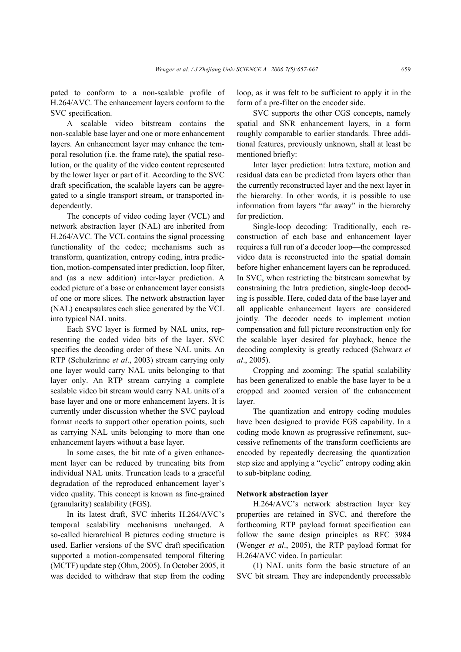pated to conform to a non-scalable profile of H.264/AVC. The enhancement layers conform to the SVC specification.

A scalable video bitstream contains the non-scalable base layer and one or more enhancement layers. An enhancement layer may enhance the temporal resolution (i.e. the frame rate), the spatial resolution, or the quality of the video content represented by the lower layer or part of it. According to the SVC draft specification, the scalable layers can be aggregated to a single transport stream, or transported independently.

The concepts of video coding layer (VCL) and network abstraction layer (NAL) are inherited from H.264/AVC. The VCL contains the signal processing functionality of the codec; mechanisms such as transform, quantization, entropy coding, intra prediction, motion-compensated inter prediction, loop filter, and (as a new addition) inter-layer prediction. A coded picture of a base or enhancement layer consists of one or more slices. The network abstraction layer (NAL) encapsulates each slice generated by the VCL into typical NAL units.

Each SVC layer is formed by NAL units, representing the coded video bits of the layer. SVC specifies the decoding order of these NAL units. An RTP (Schulzrinne *et al*., 2003) stream carrying only one layer would carry NAL units belonging to that layer only. An RTP stream carrying a complete scalable video bit stream would carry NAL units of a base layer and one or more enhancement layers. It is currently under discussion whether the SVC payload format needs to support other operation points, such as carrying NAL units belonging to more than one enhancement layers without a base layer.

In some cases, the bit rate of a given enhancement layer can be reduced by truncating bits from individual NAL units. Truncation leads to a graceful degradation of the reproduced enhancement layer's video quality. This concept is known as fine-grained (granularity) scalability (FGS).

In its latest draft, SVC inherits H.264/AVC's temporal scalability mechanisms unchanged. A so-called hierarchical B pictures coding structure is used. Earlier versions of the SVC draft specification supported a motion-compensated temporal filtering (MCTF) update step (Ohm, 2005). In October 2005, it was decided to withdraw that step from the coding loop, as it was felt to be sufficient to apply it in the form of a pre-filter on the encoder side.

SVC supports the other CGS concepts, namely spatial and SNR enhancement layers, in a form roughly comparable to earlier standards. Three additional features, previously unknown, shall at least be mentioned briefly:

Inter layer prediction: Intra texture, motion and residual data can be predicted from layers other than the currently reconstructed layer and the next layer in the hierarchy. In other words, it is possible to use information from layers "far away" in the hierarchy for prediction.

Single-loop decoding: Traditionally, each reconstruction of each base and enhancement layer requires a full run of a decoder loop—the compressed video data is reconstructed into the spatial domain before higher enhancement layers can be reproduced. In SVC, when restricting the bitstream somewhat by constraining the Intra prediction, single-loop decoding is possible. Here, coded data of the base layer and all applicable enhancement layers are considered jointly. The decoder needs to implement motion compensation and full picture reconstruction only for the scalable layer desired for playback, hence the decoding complexity is greatly reduced (Schwarz *et al*., 2005).

Cropping and zooming: The spatial scalability has been generalized to enable the base layer to be a cropped and zoomed version of the enhancement layer.

The quantization and entropy coding modules have been designed to provide FGS capability. In a coding mode known as progressive refinement, successive refinements of the transform coefficients are encoded by repeatedly decreasing the quantization step size and applying a "cyclic" entropy coding akin to sub-bitplane coding.

## **Network abstraction layer**

H.264/AVC's network abstraction layer key properties are retained in SVC, and therefore the forthcoming RTP payload format specification can follow the same design principles as RFC 3984 (Wenger *et al*., 2005), the RTP payload format for H.264/AVC video. In particular:

(1) NAL units form the basic structure of an SVC bit stream. They are independently processable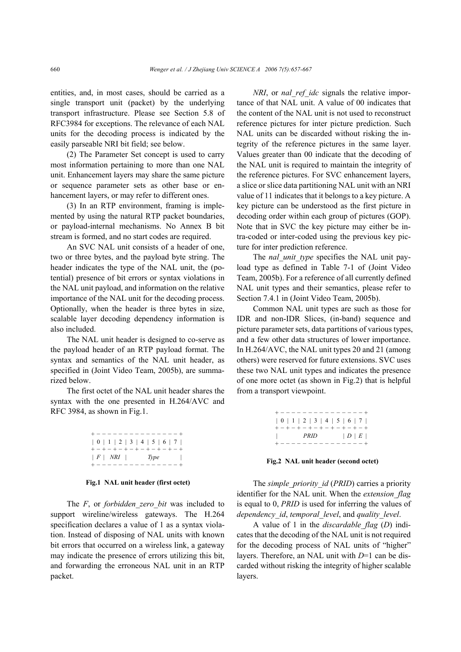entities, and, in most cases, should be carried as a single transport unit (packet) by the underlying transport infrastructure. Please see Section 5.8 of RFC3984 for exceptions. The relevance of each NAL units for the decoding process is indicated by the easily parseable NRI bit field; see below.

(2) The Parameter Set concept is used to carry most information pertaining to more than one NAL unit. Enhancement layers may share the same picture or sequence parameter sets as other base or enhancement layers, or may refer to different ones.

(3) In an RTP environment, framing is implemented by using the natural RTP packet boundaries, or payload-internal mechanisms. No Annex B bit stream is formed, and no start codes are required.

An SVC NAL unit consists of a header of one, two or three bytes, and the payload byte string. The header indicates the type of the NAL unit, the (potential) presence of bit errors or syntax violations in the NAL unit payload, and information on the relative importance of the NAL unit for the decoding process. Optionally, when the header is three bytes in size, scalable layer decoding dependency information is also included.

The NAL unit header is designed to co-serve as the payload header of an RTP payload format. The syntax and semantics of the NAL unit header, as specified in (Joint Video Team, 2005b), are summarized below.

The first octet of the NAL unit header shares the syntax with the one presented in H.264/AVC and RFC 3984, as shown in Fig.1.

|  |               |  |  |          |  | . - - - - - - - - - - +           |  |  |
|--|---------------|--|--|----------|--|-----------------------------------|--|--|
|  |               |  |  |          |  | 0 1 2 3 4 5 6 7                   |  |  |
|  |               |  |  |          |  | + - + - + - + - + - + - + - + - + |  |  |
|  | $ F $ NRI $ $ |  |  |          |  | $Type$                            |  |  |
|  |               |  |  | -------- |  |                                   |  |  |

#### **Fig.1 NAL unit header (first octet)**

The *F*, or *forbidden* zero bit was included to support wireline/wireless gateways. The H.264 specification declares a value of 1 as a syntax violation. Instead of disposing of NAL units with known bit errors that occurred on a wireless link, a gateway may indicate the presence of errors utilizing this bit, and forwarding the erroneous NAL unit in an RTP packet.

*NRI*, or *nal ref idc* signals the relative importance of that NAL unit. A value of 00 indicates that the content of the NAL unit is not used to reconstruct reference pictures for inter picture prediction. Such NAL units can be discarded without risking the integrity of the reference pictures in the same layer. Values greater than 00 indicate that the decoding of the NAL unit is required to maintain the integrity of the reference pictures. For SVC enhancement layers, a slice or slice data partitioning NAL unit with an NRI value of 11 indicates that it belongs to a key picture. A key picture can be understood as the first picture in decoding order within each group of pictures (GOP). Note that in SVC the key picture may either be intra-coded or inter-coded using the previous key picture for inter prediction reference.

The *nal unit type* specifies the NAL unit payload type as defined in Table 7-1 of (Joint Video Team, 2005b). For a reference of all currently defined NAL unit types and their semantics, please refer to Section 7.4.1 in (Joint Video Team, 2005b).

Common NAL unit types are such as those for IDR and non-IDR Slices, (in-band) sequence and picture parameter sets, data partitions of various types, and a few other data structures of lower importance. In H.264/AVC, the NAL unit types 20 and 21 (among others) were reserved for future extensions. SVC uses these two NAL unit types and indicates the presence of one more octet (as shown in Fig.2) that is helpful from a transport viewpoint.

| ---------  |                   |
|------------|-------------------|
|            | 0 1 2 3 4 5 6 7   |
|            | +-+-+-+-+-+-+-+-+ |
| $ $ $PRID$ | D E               |
| $- - - -$  |                   |

#### **Fig.2 NAL unit header (second octet)**

The *simple priority id* (*PRID*) carries a priority identifier for the NAL unit. When the *extension\_flag* is equal to 0, *PRID* is used for inferring the values of *dependency\_id*, *temporal\_level*, and *quality\_level*.

A value of 1 in the *discardable\_flag* (*D*) indicates that the decoding of the NAL unit is not required for the decoding process of NAL units of "higher" layers. Therefore, an NAL unit with *D*=1 can be discarded without risking the integrity of higher scalable layers.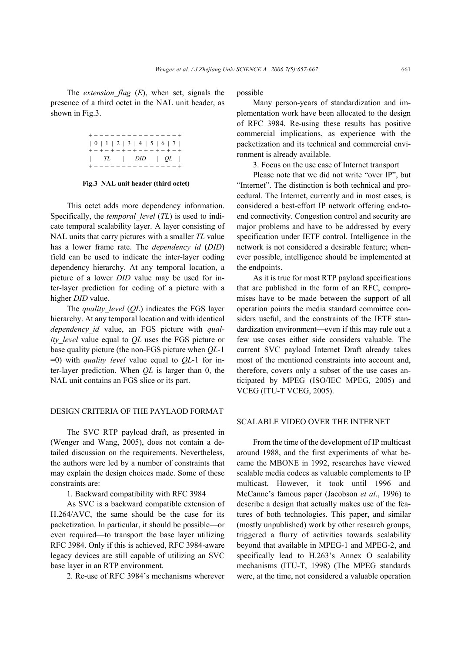The *extension flag* (*E*), when set, signals the presence of a third octet in the NAL unit header, as shown in Fig.3.

$$
\begin{array}{c|cccc}\n+ & - & - & - & - & - & - & - & - & - & - & - & + \\
\mid 0 & \mid 1 & \mid 2 & \mid 3 & \mid 4 & \mid 5 & \mid 6 & \mid 7 & \mid \\
+ & + & + & - & + & - & + & - & + & - & + & + \\
\mid & TL & \mid & DID & \mid & QL & \mid \\
+ & - & - & - & - & - & - & - & - & + & + \\
\end{array}
$$

#### **Fig.3 NAL unit header (third octet)**

This octet adds more dependency information. Specifically, the *temporal\_level* (*TL*) is used to indicate temporal scalability layer. A layer consisting of NAL units that carry pictures with a smaller *TL* value has a lower frame rate. The *dependency\_id* (*DID*) field can be used to indicate the inter-layer coding dependency hierarchy. At any temporal location, a picture of a lower *DID* value may be used for inter-layer prediction for coding of a picture with a higher *DID* value.

The *quality\_level* (*QL*) indicates the FGS layer hierarchy. At any temporal location and with identical *dependency\_id* value, an FGS picture with *quality\_level* value equal to *QL* uses the FGS picture or base quality picture (the non-FGS picture when *QL*-1 =0) with *quality\_level* value equal to *QL*-1 for inter-layer prediction. When *QL* is larger than 0, the NAL unit contains an FGS slice or its part.

# DESIGN CRITERIA OF THE PAYLAOD FORMAT

The SVC RTP payload draft, as presented in (Wenger and Wang, 2005), does not contain a detailed discussion on the requirements. Nevertheless, the authors were led by a number of constraints that may explain the design choices made. Some of these constraints are:

1. Backward compatibility with RFC 3984

As SVC is a backward compatible extension of H.264/AVC, the same should be the case for its packetization. In particular, it should be possible—or even required—to transport the base layer utilizing RFC 3984. Only if this is achieved, RFC 3984-aware legacy devices are still capable of utilizing an SVC base layer in an RTP environment.

2. Re-use of RFC 3984's mechanisms wherever

possible

Many person-years of standardization and implementation work have been allocated to the design of RFC 3984. Re-using these results has positive commercial implications, as experience with the packetization and its technical and commercial environment is already available.

3. Focus on the use case of Internet transport

Please note that we did not write "over IP", but "Internet". The distinction is both technical and procedural. The Internet, currently and in most cases, is considered a best-effort IP network offering end-toend connectivity. Congestion control and security are major problems and have to be addressed by every specification under IETF control. Intelligence in the network is not considered a desirable feature; whenever possible, intelligence should be implemented at the endpoints.

As it is true for most RTP payload specifications that are published in the form of an RFC, compromises have to be made between the support of all operation points the media standard committee considers useful, and the constraints of the IETF standardization environment—even if this may rule out a few use cases either side considers valuable. The current SVC payload Internet Draft already takes most of the mentioned constraints into account and, therefore, covers only a subset of the use cases anticipated by MPEG (ISO/IEC MPEG, 2005) and VCEG (ITU-T VCEG, 2005).

## SCALABLE VIDEO OVER THE INTERNET

From the time of the development of IP multicast around 1988, and the first experiments of what became the MBONE in 1992, researches have viewed scalable media codecs as valuable complements to IP multicast. However, it took until 1996 and McCanne's famous paper (Jacobson *et al*., 1996) to describe a design that actually makes use of the features of both technologies. This paper, and similar (mostly unpublished) work by other research groups, triggered a flurry of activities towards scalability beyond that available in MPEG-1 and MPEG-2, and specifically lead to H.263's Annex O scalability mechanisms (ITU-T, 1998) (The MPEG standards were, at the time, not considered a valuable operation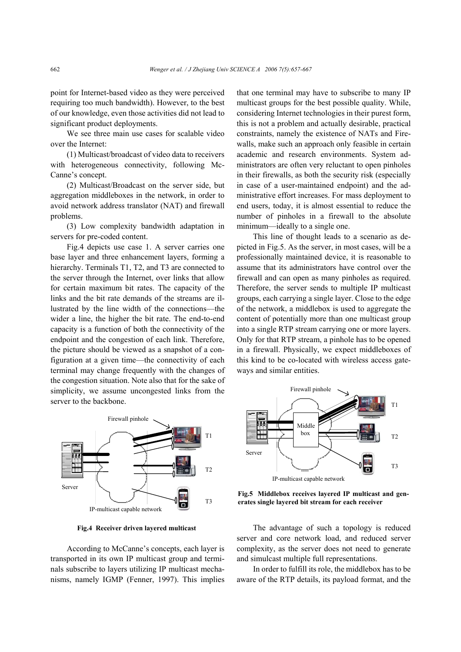point for Internet-based video as they were perceived requiring too much bandwidth). However, to the best of our knowledge, even those activities did not lead to significant product deployments.

We see three main use cases for scalable video over the Internet:

(1) Multicast/broadcast of video data to receivers with heterogeneous connectivity, following Mc-Canne's concept.

(2) Multicast/Broadcast on the server side, but aggregation middleboxes in the network, in order to avoid network address translator (NAT) and firewall problems.

(3) Low complexity bandwidth adaptation in servers for pre-coded content.

Fig.4 depicts use case 1. A server carries one base layer and three enhancement layers, forming a hierarchy. Terminals T1, T2, and T3 are connected to the server through the Internet, over links that allow for certain maximum bit rates. The capacity of the links and the bit rate demands of the streams are illustrated by the line width of the connections—the wider a line, the higher the bit rate. The end-to-end capacity is a function of both the connectivity of the endpoint and the congestion of each link. Therefore, the picture should be viewed as a snapshot of a configuration at a given time—the connectivity of each terminal may change frequently with the changes of the congestion situation. Note also that for the sake of simplicity, we assume uncongested links from the server to the backbone.

Firewall pinhole T1 T2 ┯ Server T3

**Fig.4 Receiver driven layered multicast**

IP-multicast capable network

According to McCanne's concepts, each layer is transported in its own IP multicast group and terminals subscribe to layers utilizing IP multicast mechanisms, namely IGMP (Fenner, 1997). This implies

that one terminal may have to subscribe to many IP multicast groups for the best possible quality. While, considering Internet technologies in their purest form, this is not a problem and actually desirable, practical constraints, namely the existence of NATs and Firewalls, make such an approach only feasible in certain academic and research environments. System administrators are often very reluctant to open pinholes in their firewalls, as both the security risk (especially in case of a user-maintained endpoint) and the administrative effort increases. For mass deployment to end users, today, it is almost essential to reduce the number of pinholes in a firewall to the absolute minimum—ideally to a single one.

This line of thought leads to a scenario as depicted in Fig.5. As the server, in most cases, will be a professionally maintained device, it is reasonable to assume that its administrators have control over the firewall and can open as many pinholes as required. Therefore, the server sends to multiple IP multicast groups, each carrying a single layer. Close to the edge of the network, a middlebox is used to aggregate the content of potentially more than one multicast group into a single RTP stream carrying one or more layers. Only for that RTP stream, a pinhole has to be opened in a firewall. Physically, we expect middleboxes of this kind to be co-located with wireless access gateways and similar entities.



**Fig.5 Middlebox receives layered IP multicast and generates single layered bit stream for each receiver**

The advantage of such a topology is reduced server and core network load, and reduced server complexity, as the server does not need to generate and simulcast multiple full representations.

In order to fulfill its role, the middlebox has to be aware of the RTP details, its payload format, and the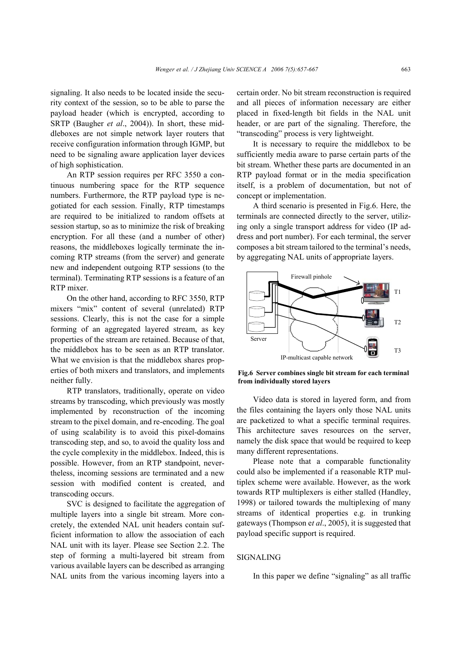signaling. It also needs to be located inside the security context of the session, so to be able to parse the payload header (which is encrypted, according to SRTP (Baugher *et al*., 2004)). In short, these middleboxes are not simple network layer routers that receive configuration information through IGMP, but need to be signaling aware application layer devices of high sophistication.

An RTP session requires per RFC 3550 a continuous numbering space for the RTP sequence numbers. Furthermore, the RTP payload type is negotiated for each session. Finally, RTP timestamps are required to be initialized to random offsets at session startup, so as to minimize the risk of breaking encryption. For all these (and a number of other) reasons, the middleboxes logically terminate the incoming RTP streams (from the server) and generate new and independent outgoing RTP sessions (to the terminal). Terminating RTP sessions is a feature of an RTP mixer.

On the other hand, according to RFC 3550, RTP mixers "mix" content of several (unrelated) RTP sessions. Clearly, this is not the case for a simple forming of an aggregated layered stream, as key properties of the stream are retained. Because of that, the middlebox has to be seen as an RTP translator. What we envision is that the middlebox shares properties of both mixers and translators, and implements neither fully.

RTP translators, traditionally, operate on video streams by transcoding, which previously was mostly implemented by reconstruction of the incoming stream to the pixel domain, and re-encoding. The goal of using scalability is to avoid this pixel-domains transcoding step, and so, to avoid the quality loss and the cycle complexity in the middlebox. Indeed, this is possible. However, from an RTP standpoint, nevertheless, incoming sessions are terminated and a new session with modified content is created, and transcoding occurs.

SVC is designed to facilitate the aggregation of multiple layers into a single bit stream. More concretely, the extended NAL unit headers contain sufficient information to allow the association of each NAL unit with its layer. Please see Section 2.2. The step of forming a multi-layered bit stream from various available layers can be described as arranging NAL units from the various incoming layers into a certain order. No bit stream reconstruction is required and all pieces of information necessary are either placed in fixed-length bit fields in the NAL unit header, or are part of the signaling. Therefore, the "transcoding" process is very lightweight.

It is necessary to require the middlebox to be sufficiently media aware to parse certain parts of the bit stream. Whether these parts are documented in an RTP payload format or in the media specification itself, is a problem of documentation, but not of concept or implementation.

A third scenario is presented in Fig.6. Here, the terminals are connected directly to the server, utilizing only a single transport address for video (IP address and port number). For each terminal, the server composes a bit stream tailored to the terminal's needs, by aggregating NAL units of appropriate layers.



**Fig.6 Server combines single bit stream for each terminal from individually stored layers**

Video data is stored in layered form, and from the files containing the layers only those NAL units are packetized to what a specific terminal requires. This architecture saves resources on the server, namely the disk space that would be required to keep many different representations.

Please note that a comparable functionality could also be implemented if a reasonable RTP multiplex scheme were available. However, as the work towards RTP multiplexers is either stalled (Handley, 1998) or tailored towards the multiplexing of many streams of itdentical properties e.g. in trunking gateways (Thompson e*t al*., 2005), it is suggested that payload specific support is required.

## SIGNALING

In this paper we define "signaling" as all traffic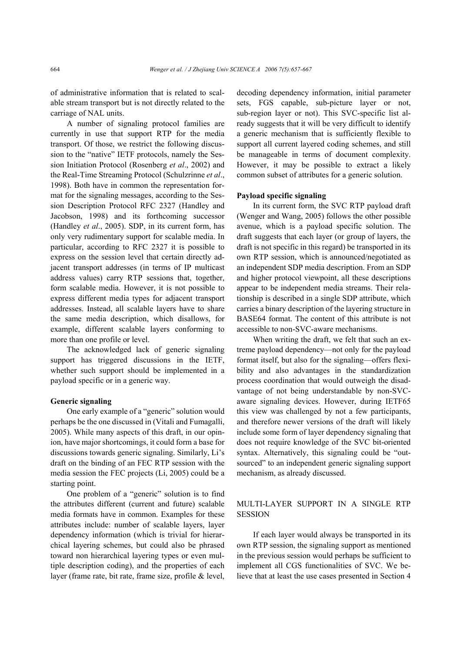of administrative information that is related to scalable stream transport but is not directly related to the carriage of NAL units.

A number of signaling protocol families are currently in use that support RTP for the media transport. Of those, we restrict the following discussion to the "native" IETF protocols, namely the Session Initiation Protocol (Rosenberg *et al*., 2002) and the Real-Time Streaming Protocol (Schulzrinne *et al*., 1998). Both have in common the representation format for the signaling messages, according to the Session Description Protocol RFC 2327 (Handley and Jacobson, 1998) and its forthcoming successor (Handley *et al*., 2005). SDP, in its current form, has only very rudimentary support for scalable media. In particular, according to RFC 2327 it is possible to express on the session level that certain directly adjacent transport addresses (in terms of IP multicast address values) carry RTP sessions that, together, form scalable media. However, it is not possible to express different media types for adjacent transport addresses. Instead, all scalable layers have to share the same media description, which disallows, for example, different scalable layers conforming to more than one profile or level.

The acknowledged lack of generic signaling support has triggered discussions in the IETF, whether such support should be implemented in a payload specific or in a generic way.

## **Generic signaling**

One early example of a "generic" solution would perhaps be the one discussed in (Vitali and Fumagalli, 2005). While many aspects of this draft, in our opinion, have major shortcomings, it could form a base for discussions towards generic signaling. Similarly, Li's draft on the binding of an FEC RTP session with the media session the FEC projects (Li, 2005) could be a starting point.

One problem of a "generic" solution is to find the attributes different (current and future) scalable media formats have in common. Examples for these attributes include: number of scalable layers, layer dependency information (which is trivial for hierarchical layering schemes, but could also be phrased toward non hierarchical layering types or even multiple description coding), and the properties of each layer (frame rate, bit rate, frame size, profile & level,

decoding dependency information, initial parameter sets, FGS capable, sub-picture layer or not, sub-region layer or not). This SVC-specific list already suggests that it will be very difficult to identify a generic mechanism that is sufficiently flexible to support all current layered coding schemes, and still be manageable in terms of document complexity. However, it may be possible to extract a likely common subset of attributes for a generic solution.

### **Payload specific signaling**

In its current form, the SVC RTP payload draft (Wenger and Wang, 2005) follows the other possible avenue, which is a payload specific solution. The draft suggests that each layer (or group of layers, the draft is not specific in this regard) be transported in its own RTP session, which is announced/negotiated as an independent SDP media description. From an SDP and higher protocol viewpoint, all these descriptions appear to be independent media streams. Their relationship is described in a single SDP attribute, which carries a binary description of the layering structure in BASE64 format. The content of this attribute is not accessible to non-SVC-aware mechanisms.

When writing the draft, we felt that such an extreme payload dependency—not only for the payload format itself, but also for the signaling—offers flexibility and also advantages in the standardization process coordination that would outweigh the disadvantage of not being understandable by non-SVCaware signaling devices. However, during IETF65 this view was challenged by not a few participants, and therefore newer versions of the draft will likely include some form of layer dependency signaling that does not require knowledge of the SVC bit-oriented syntax. Alternatively, this signaling could be "outsourced" to an independent generic signaling support mechanism, as already discussed.

# MULTI-LAYER SUPPORT IN A SINGLE RTP SESSION

If each layer would always be transported in its own RTP session, the signaling support as mentioned in the previous session would perhaps be sufficient to implement all CGS functionalities of SVC. We believe that at least the use cases presented in Section 4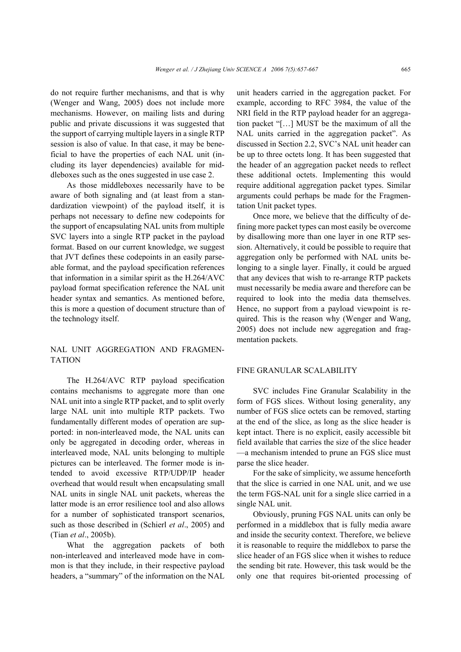do not require further mechanisms, and that is why (Wenger and Wang, 2005) does not include more mechanisms. However, on mailing lists and during public and private discussions it was suggested that the support of carrying multiple layers in a single RTP session is also of value. In that case, it may be beneficial to have the properties of each NAL unit (including its layer dependencies) available for middleboxes such as the ones suggested in use case 2.

As those middleboxes necessarily have to be aware of both signaling and (at least from a standardization viewpoint) of the payload itself, it is perhaps not necessary to define new codepoints for the support of encapsulating NAL units from multiple SVC layers into a single RTP packet in the payload format. Based on our current knowledge, we suggest that JVT defines these codepoints in an easily parseable format, and the payload specification references that information in a similar spirit as the H.264/AVC payload format specification reference the NAL unit header syntax and semantics. As mentioned before, this is more a question of document structure than of the technology itself.

# NAL UNIT AGGREGATION AND FRAGMEN-TATION

The H.264/AVC RTP payload specification contains mechanisms to aggregate more than one NAL unit into a single RTP packet, and to split overly large NAL unit into multiple RTP packets. Two fundamentally different modes of operation are supported: in non-interleaved mode, the NAL units can only be aggregated in decoding order, whereas in interleaved mode, NAL units belonging to multiple pictures can be interleaved. The former mode is intended to avoid excessive RTP/UDP/IP header overhead that would result when encapsulating small NAL units in single NAL unit packets, whereas the latter mode is an error resilience tool and also allows for a number of sophisticated transport scenarios, such as those described in (Schierl *et al*., 2005) and (Tian *et al*., 2005b).

What the aggregation packets of both non-interleaved and interleaved mode have in common is that they include, in their respective payload headers, a "summary" of the information on the NAL unit headers carried in the aggregation packet. For example, according to RFC 3984, the value of the NRI field in the RTP payload header for an aggregation packet "[…] MUST be the maximum of all the NAL units carried in the aggregation packet". As discussed in Section 2.2, SVC's NAL unit header can be up to three octets long. It has been suggested that the header of an aggregation packet needs to reflect these additional octets. Implementing this would require additional aggregation packet types. Similar arguments could perhaps be made for the Fragmentation Unit packet types.

Once more, we believe that the difficulty of defining more packet types can most easily be overcome by disallowing more than one layer in one RTP session. Alternatively, it could be possible to require that aggregation only be performed with NAL units belonging to a single layer. Finally, it could be argued that any devices that wish to re-arrange RTP packets must necessarily be media aware and therefore can be required to look into the media data themselves. Hence, no support from a payload viewpoint is required. This is the reason why (Wenger and Wang, 2005) does not include new aggregation and fragmentation packets.

# FINE GRANULAR SCALABILITY

SVC includes Fine Granular Scalability in the form of FGS slices. Without losing generality, any number of FGS slice octets can be removed, starting at the end of the slice, as long as the slice header is kept intact. There is no explicit, easily accessible bit field available that carries the size of the slice header —a mechanism intended to prune an FGS slice must parse the slice header.

For the sake of simplicity, we assume henceforth that the slice is carried in one NAL unit, and we use the term FGS-NAL unit for a single slice carried in a single NAL unit.

Obviously, pruning FGS NAL units can only be performed in a middlebox that is fully media aware and inside the security context. Therefore, we believe it is reasonable to require the middlebox to parse the slice header of an FGS slice when it wishes to reduce the sending bit rate. However, this task would be the only one that requires bit-oriented processing of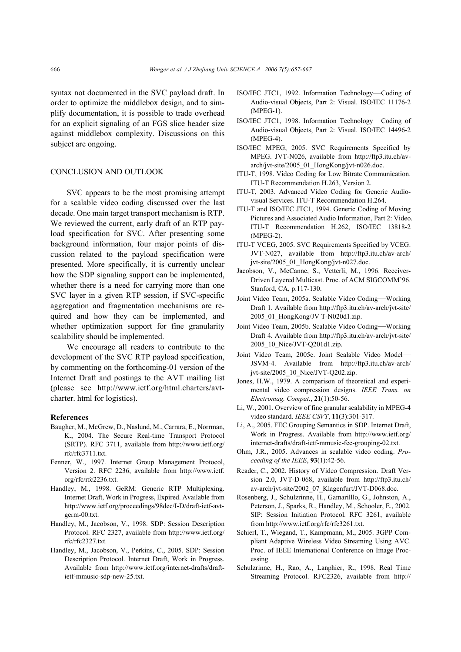syntax not documented in the SVC payload draft. In order to optimize the middlebox design, and to simplify documentation, it is possible to trade overhead for an explicit signaling of an FGS slice header size against middlebox complexity. Discussions on this subject are ongoing.

## CONCLUSION AND OUTLOOK

SVC appears to be the most promising attempt for a scalable video coding discussed over the last decade. One main target transport mechanism is RTP. We reviewed the current, early draft of an RTP payload specification for SVC. After presenting some background information, four major points of discussion related to the payload specification were presented. More specifically, it is currently unclear how the SDP signaling support can be implemented, whether there is a need for carrying more than one SVC layer in a given RTP session, if SVC-specific aggregation and fragmentation mechanisms are required and how they can be implemented, and whether optimization support for fine granularity scalability should be implemented.

We encourage all readers to contribute to the development of the SVC RTP payload specification, by commenting on the forthcoming-01 version of the Internet Draft and postings to the AVT mailing list (please see http://www.ietf.org/html.charters/avtcharter. html for logistics).

#### **References**

- Baugher, M., McGrew, D., Naslund, M., Carrara, E., Norrman, K., 2004. The Secure Real-time Transport Protocol (SRTP). RFC 3711, available from http://www.ietf.org/ rfc/rfc3711.txt.
- Fenner, W., 1997. Internet Group Management Protocol, Version 2. RFC 2236, available from http://www.ietf. org/rfc/rfc2236.txt.
- Handley, M., 1998. GeRM: Generic RTP Multiplexing. Internet Draft, Work in Progress, Expired. Available from http://www.ietf.org/proceedings/98dec/I-D/draft-ietf-avtgerm-00.txt.
- Handley, M., Jacobson, V., 1998. SDP: Session Description Protocol. RFC 2327, available from http://www.ietf.org/ rfc/rfc2327.txt.
- Handley, M., Jacobson, V., Perkins, C., 2005. SDP: Session Description Protocol. Internet Draft, Work in Progress. Available from http://www.ietf.org/internet-drafts/draftietf-mmusic-sdp-new-25.txt.
- ISO/IEC JTC1, 1992. Information Technology—Coding of Audio-visual Objects, Part 2: Visual. ISO/IEC 11176-2 (MPEG-1).
- ISO/IEC JTC1, 1998. Information Technology—Coding of Audio-visual Objects, Part 2: Visual. ISO/IEC 14496-2 (MPEG-4).
- ISO/IEC MPEG, 2005. SVC Requirements Specified by MPEG. JVT-N026, available from http://ftp3.itu.ch/avarch/jvt-site/2005\_01\_HongKong/jvt-n026.doc.
- ITU-T, 1998. Video Coding for Low Bitrate Communication. ITU-T Recommendation H.263, Version 2.
- ITU-T, 2003. Advanced Video Coding for Generic Audiovisual Services. ITU-T Recommendation H.264.
- ITU-T and ISO/IEC JTC1, 1994. Generic Coding of Moving Pictures and Associated Audio Information, Part 2: Video. ITU-T Recommendation H.262, ISO/IEC 13818-2 (MPEG-2).
- ITU-T VCEG, 2005. SVC Requirements Specified by VCEG. JVT-N027, available from http://ftp3.itu.ch/av-arch/ jvt-site/2005\_01\_HongKong/jvt-n027.doc.
- Jacobson, V., McCanne, S., Vetterli, M., 1996. Receiver-Driven Layered Multicast. Proc. of ACM SIGCOMM'96. Stanford, CA, p.117-130.
- Joint Video Team, 2005a. Scalable Video Coding—Working Draft 1. Available from http://ftp3.itu.ch/av-arch/jvt-site/ 2005\_01\_HongKong/JV T-N020d1.zip.
- Joint Video Team, 2005b. Scalable Video Coding—Working Draft 4. Available from http://ftp3.itu.ch/av-arch/jvt-site/ 2005\_10\_Nice/JVT-Q201d1.zip.
- Joint Video Team, 2005c. Joint Scalable Video Model— JSVM-4. Available from http://ftp3.itu.ch/av-arch/ jvt-site/2005\_10\_Nice/JVT-Q202.zip.
- Jones, H.W., 1979. A comparison of theoretical and experimental video compression designs. *IEEE Trans. on Electromag. Compat.*, **21**(1):50-56.
- Li, W., 2001. Overview of fine granular scalability in MPEG-4 video standard. *IEEE CSVT*, **11**(3):301-317.
- Li, A., 2005. FEC Grouping Semantics in SDP. Internet Draft, Work in Progress. Available from http://www.ietf.org/ internet-drafts/draft-ietf-mmusic-fec-grouping-02.txt.
- Ohm, J.R., 2005. Advances in scalable video coding. *Proceeding of the IEEE*, **93**(1):42-56.
- Reader, C., 2002. History of Video Compression. Draft Version 2.0, JVT-D-068, available from http://ftp3.itu.ch/ av-arch/jvt-site/2002\_07\_Klagenfurt/JVT-D068.doc.
- Rosenberg, J., Schulzrinne, H., Gamarilllo, G., Johnston, A., Peterson, J., Sparks, R., Handley, M., Schooler, E., 2002. SIP: Session Initiation Protocol. RFC 3261, available from http://www.ietf.org/rfc/rfc3261.txt.
- Schierl, T., Wiegand, T., Kampmann, M., 2005. 3GPP Compliant Adaptive Wireless Video Streaming Using AVC. Proc. of IEEE International Conference on Image Processing.
- Schulzrinne, H., Rao, A., Lanphier, R., 1998. Real Time Streaming Protocol. RFC2326, available from http://